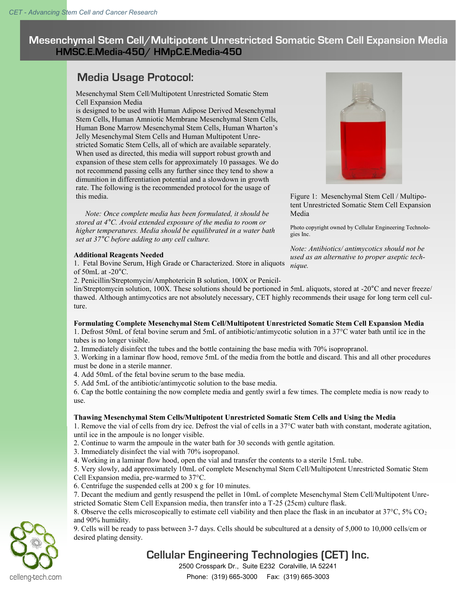**Mesenchymal Stem Cell/Multipotent Unrestricted Somatic Stem Cell Expansion Media HMSC.E.Media-450/ HMpC.E.Media-450**

# **Media Usage Protocol:**

# Mesenchymal Stem Cell/Multipotent Unrestricted Somatic Stem Cell Expansion Media

is designed to be used with Human Adipose Derived Mesenchymal Stem Cells, Human Amniotic Membrane Mesenchymal Stem Cells, Human Bone Marrow Mesenchymal Stem Cells, Human Wharton's Jelly Mesenchymal Stem Cells and Human Multipotent Unrestricted Somatic Stem Cells, all of which are available separately. When used as directed, this media will support robust growth and expansion of these stem cells for approximately 10 passages. We do not recommend passing cells any further since they tend to show a dimunition in differentiation potential and a slowdown in growth rate. The following is the recommended protocol for the usage of this media.

 *Note: Once complete media has been formulated, it should be stored at 4°C. Avoid extended exposure of the media to room or higher temperatures. Media should be equilibrated in a water bath set at 37°C before adding to any cell culture.*

# **Additional Reagents Needed**

1. Fetal Bovine Serum, High Grade or Characterized. Store in aliquots of  $50$ mL at  $-20$ °C.

2. Penicillin/Streptomycin/Amphotericin B solution, 100X or Penicil-

lin/Streptomycin solution, 100X. These solutions should be portioned in 5mL aliquots, stored at -20°C and never freeze/ thawed. Although antimycotics are not absolutely necessary, CET highly recommends their usage for long term cell culture.

# **Formulating Complete Mesenchymal Stem Cell/Multipotent Unrestricted Somatic Stem Cell Expansion Media**

1. Defrost 50mL of fetal bovine serum and 5mL of antibiotic/antimycotic solution in a 37°C water bath until ice in the tubes is no longer visible.

2. Immediately disinfect the tubes and the bottle containing the base media with 70% isopropranol.

3. Working in a laminar flow hood, remove 5mL of the media from the bottle and discard. This and all other procedures must be done in a sterile manner.

4. Add 50mL of the fetal bovine serum to the base media.

5. Add 5mL of the antibiotic/antimycotic solution to the base media.

6. Cap the bottle containing the now complete media and gently swirl a few times. The complete media is now ready to use.

# **Thawing Mesenchymal Stem Cells/Multipotent Unrestricted Somatic Stem Cells and Using the Media**

1. Remove the vial of cells from dry ice. Defrost the vial of cells in a 37°C water bath with constant, moderate agitation, until ice in the ampoule is no longer visible.

2. Continue to warm the ampoule in the water bath for 30 seconds with gentle agitation.

- 3. Immediately disinfect the vial with 70% isopropanol.
- 4. Working in a laminar flow hood, open the vial and transfer the contents to a sterile 15mL tube.

5. Very slowly, add approximately 10mL of complete Mesenchymal Stem Cell/Multipotent Unrestricted Somatic Stem Cell Expansion media, pre-warmed to 37°C.

- 6. Centrifuge the suspended cells at 200 x g for 10 minutes.
- 7. Decant the medium and gently resuspend the pellet in 10mL of complete Mesenchymal Stem Cell/Multipotent Unrestricted Somatic Stem Cell Expansion media, then transfer into a T-25 (25cm) culture flask.

8. Observe the cells microscopically to estimate cell viability and then place the flask in an incubator at 37°C, 5% CO<sup>2</sup> and 90% humidity.

9. Cells will be ready to pass between 3-7 days. Cells should be subcultured at a density of 5,000 to 10,000 cells/cm or desired plating density.

# **Cellular Engineering Technologies (CET) Inc.**

2500 Crosspark Dr., Suite E232 Coralville, IA 52241







Figure 1: Mesenchymal Stem Cell / Multipotent Unrestricted Somatic Stem Cell Expansion Media

Photo copyright owned by Cellular Engineering Technologies Inc.

*Note: Antibiotics/ antimycotics should not be used as an alternative to proper aseptic technique.*